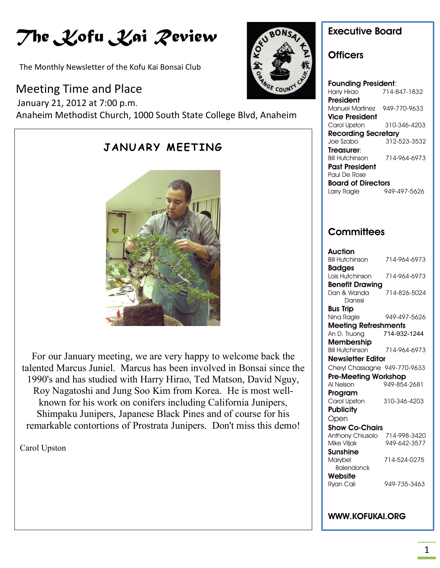# *The Kofu Kai Review*

The Monthly Newsletter of the Kofu Kai Bonsai Club

# Meeting Time and Place

ׇ֖֖֖֖֚֚֚֚֚֬

 January 21, 2012 at 7:00 p.m. Anaheim Methodist Church, 1000 South State College Blvd, Anaheim



For our January meeting, we are very happy to welcome back the talented Marcus Juniel. Marcus has been involved in Bonsai since the 1990's and has studied with Harry Hirao, Ted Matson, David Nguy, Roy Nagatoshi and Jung Soo Kim from Korea. He is most wellknown for his work on conifers including California Junipers, Shimpaku Junipers, Japanese Black Pines and of course for his remarkable contortions of Prostrata Junipers. Don't miss this demo!

Carol Upston



### **Executive Board**

### **Officers**

**Founding President**: Harry Hirao 714-847-1832 **President** Manuel Martinez 949-770-9633 **Vice President** Carol Upston 310-346-4203 **Recording Secretary** Joe Szabo 312-523-3532 **Treasurer**: Bill Hutchinson 714-964-6973 **Past President** Paul De Rose **Board of Directors** Larry Ragle 949-497-5626

### **Committees**

| Auction                       |              |
|-------------------------------|--------------|
| <b>Bill Hutchinson</b>        | 714-964-6973 |
| <b>Badges</b>                 |              |
| Lois Hutchinson               | 714-964-6973 |
| <b>Benefit Drawing</b>        |              |
| Dan & Wanda                   | 714-826-5024 |
| Danesi                        |              |
| Bus Trip                      |              |
| Nina Ragle                    | 949-497-5626 |
| <b>Meeting Refreshments</b>   |              |
| An D. Truong                  | 714-932-1244 |
| <b>Membership</b>             |              |
| <b>Bill Hutchinson</b>        | 714-964-6973 |
| Newsletter Editor             |              |
| Cheryl Chassagne 949-770-9633 |              |
| <b>Pre-Meeting Workshop</b>   |              |
| Al Nelson                     | 949-854-2681 |
| Program                       |              |
| Carol Upston                  | 310-346-4203 |
| <b>Publicity</b>              |              |
| Open                          |              |
| <b>Show Co-Chairs</b>         |              |
| Anthony Chiusolo              | 714-998-3420 |
| Mike Viljak                   | 949-642-3577 |
| Sunshine                      |              |
| Marybel                       | 714-524-0275 |
| <b>Balendonck</b>             |              |
| Website                       |              |
| Ryan Cali                     | 949-735-3463 |
|                               |              |

#### **WWW.KOFUKAI.ORG**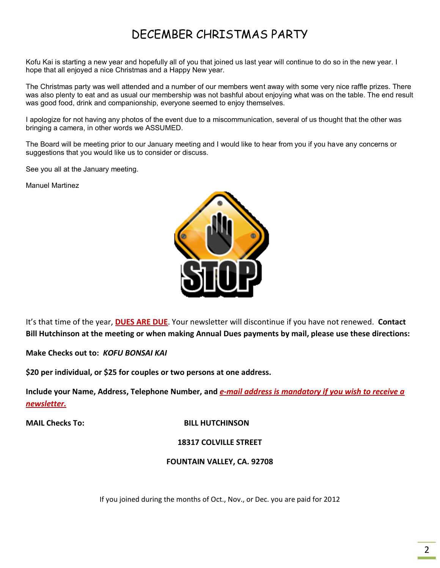# DECEMBER CHRISTMAS PARTY

Kofu Kai is starting a new year and hopefully all of you that joined us last year will continue to do so in the new year. I hope that all enjoyed a nice Christmas and a Happy New year.

The Christmas party was well attended and a number of our members went away with some very nice raffle prizes. There was also plenty to eat and as usual our membership was not bashful about enjoying what was on the table. The end result was good food, drink and companionship, everyone seemed to enjoy themselves.

I apologize for not having any photos of the event due to a miscommunication, several of us thought that the other was bringing a camera, in other words we ASSUMED.

The Board will be meeting prior to our January meeting and I would like to hear from you if you have any concerns or suggestions that you would like us to consider or discuss.

See you all at the January meeting.

Manuel Martinez



It's that time of the year, **DUES ARE DUE**. Your newsletter will discontinue if you have not renewed. **Contact Bill Hutchinson at the meeting or when making Annual Dues payments by mail, please use these directions:**

**Make Checks out to:** *KOFU BONSAI KAI*

**\$20 per individual, or \$25 for couples or two persons at one address.**

**Include your Name, Address, Telephone Number, and** *e-mail address is mandatory if you wish to receive a newsletter.*

**MAIL Checks To:** BILL HUTCHINSON

**18317 COLVILLE STREET**

**FOUNTAIN VALLEY, CA. 92708**

If you joined during the months of Oct., Nov., or Dec. you are paid for 2012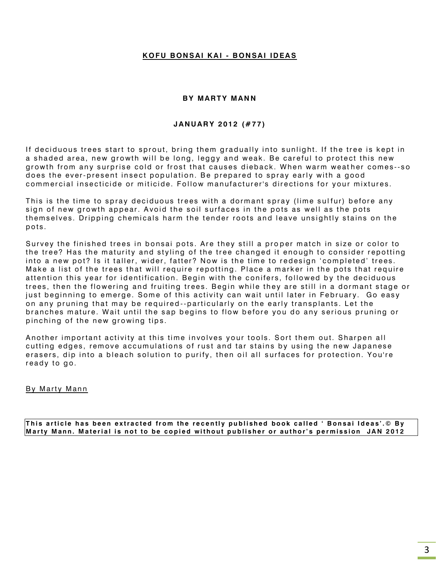#### **K O F U B ON S AI K A I - B ON SA I ID EA S**

#### **BY MARTY MANN**

#### **J AN U AR Y 2 01 2 (# 7 7 )**

If deciduous trees start to sprout, bring them gradually into sunlight. If the tree is kept in a shaded area, new growth will be long, leggy and weak. Be careful to protect this new growth from any surprise cold or frost that causes dieback. When warm weather comes--so does the ever-present insect population. Be prepared to spray early with a good commercial insecticide or miticide. Follow manufacturer's directions for your mixtures.

This is the time to spray deciduous trees with a dormant spray (lime sulfur) before any sign of new growth appear. Avoid the soil surfaces in the pots as well as the pots themselves. Dripping chemicals harm the tender roots and leave unsightly stains on the pots.

Survey the finished trees in bonsai pots. Are they still a proper match in size or color to the tree? Has the maturity and styling of the tree changed it enough to consider repotting into a new pot? Is it taller, wider, fatter? Now is the time to redesign 'completed' trees. Make a list of the trees that will require repotting. Place a marker in the pots that require attention this year for identification. Begin with the conifers, followed by the deciduous trees, then the flowering and fruiting trees. Begin while they are still in a dormant stage or just beginning to emerge. Some of this activity can wait until later in February. Go easy on any pruning that may be required--particularly on the early transplants. Let the branches mature. Wait until the sap begins to flow before you do any serious pruning or pinching of the new growing tips.

Another important activity at this time involves your tools. Sort them out. Sharpen all cutting edges, remove accumulations of rust and tar stains by using the new Japanese erasers, dip into a bleach solution to purify, then oil all surfaces for protection. You're ready to go.

#### By Marty Mann

This article has been extracted from the recently published book called 'Bonsai Ideas'.© By Marty Mann. Material is not to be copied without publisher or author's permission JAN 2012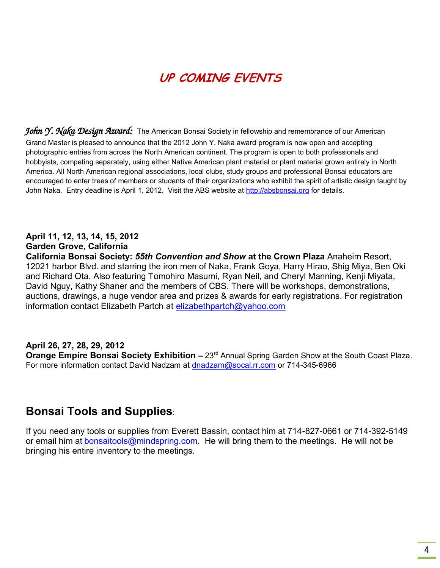# **UP COMING EVENTS**

*John Y. Naka Design Award:* The American Bonsai Society in fellowship and remembrance of our American Grand Master is pleased to announce that the 2012 John Y. Naka award program is now open and accepting photographic entries from across the North American continent. The program is open to both professionals and hobbyists, competing separately, using either Native American plant material or plant material grown entirely in North America. All North American regional associations, local clubs, study groups and professional Bonsai educators are encouraged to enter trees of members or students of their organizations who exhibit the spirit of artistic design taught by John Naka. Entry deadline is April 1, 2012. Visit the ABS website at [http://absbonsai.org](http://absbonsai.org/) for details.

#### **April 11, 12, 13, 14, 15, 2012 Garden Grove, California**

**California Bonsai Society:** *55th Convention and Show* **at the Crown Plaza** Anaheim Resort, 12021 harbor Blvd. and starring the iron men of Naka, Frank Goya, Harry Hirao, Shig Miya, Ben Oki and Richard Ota. Also featuring Tomohiro Masumi, Ryan Neil, and Cheryl Manning, Kenji Miyata, David Nguy, Kathy Shaner and the members of CBS. There will be workshops, demonstrations, auctions, drawings, a huge vendor area and prizes & awards for early registrations. For registration information contact Elizabeth Partch at [elizabethpartch@yahoo.com](mailto:elizabethpartch@yahoo.com)

#### **April 26, 27, 28, 29, 2012**

**Orange Empire Bonsai Society Exhibition - 23<sup>rd</sup> Annual Spring Garden Show at the South Coast Plaza.** For more information contact David Nadzam at [dnadzam@socal.rr.com](mailto:dnadzam@socal.rr.com) or 714-345-6966

## **Bonsai Tools and Supplies**:

If you need any tools or supplies from Everett Bassin, contact him at 714-827-0661 or 714-392-5149 or email him at **[bonsaitools@mindspring.com.](mailto:bonsaitools@mindspring.com)** He will bring them to the meetings. He will not be bringing his entire inventory to the meetings.